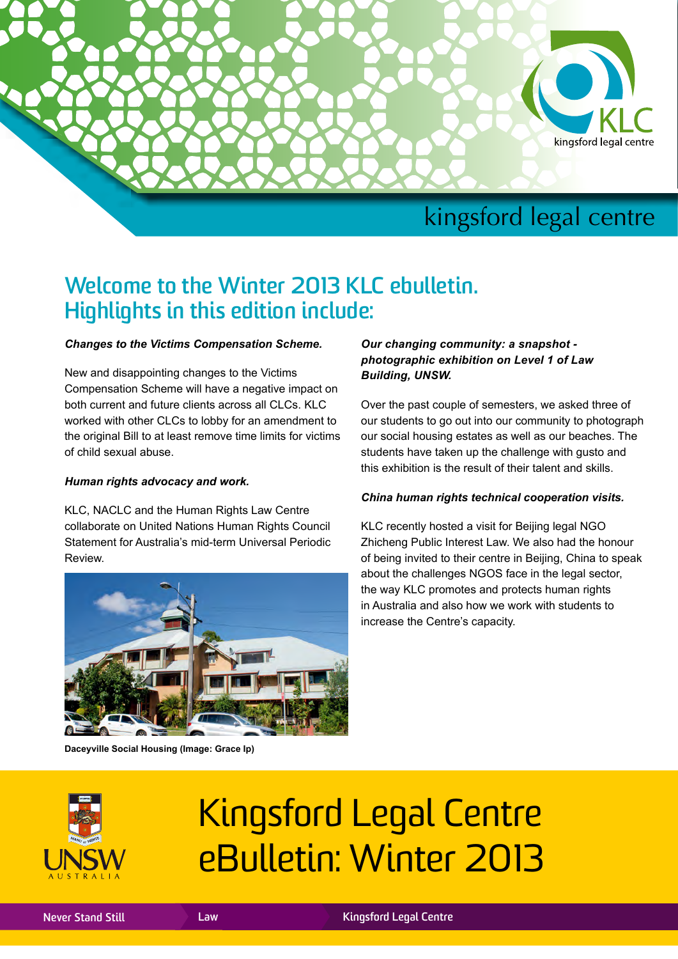

# **Welcome to the Winter 2013 KLC ebulletin. Highlights in this edition include:**

#### *Changes to the Victims Compensation Scheme.*

New and disappointing changes to the Victims Compensation Scheme will have a negative impact on both current and future clients across all CLCs. KLC worked with other CLCs to lobby for an amendment to the original Bill to at least remove time limits for victims of child sexual abuse.

#### *Human rights advocacy and work.*

KLC, NACLC and the Human Rights Law Centre collaborate on United Nations Human Rights Council Statement for Australia's mid-term Universal Periodic Review.



**Daceyville Social Housing (Image: Grace Ip)**

#### *Our changing community: a snapshot photographic exhibition on Level 1 of Law Building, UNSW.*

Over the past couple of semesters, we asked three of our students to go out into our community to photograph our social housing estates as well as our beaches. The students have taken up the challenge with gusto and this exhibition is the result of their talent and skills.

#### *China human rights technical cooperation visits.*

KLC recently hosted a visit for Beijing legal NGO Zhicheng Public Interest Law. We also had the honour of being invited to their centre in Beijing, China to speak about the challenges NGOS face in the legal sector, the way KLC promotes and protects human rights in Australia and also how we work with students to increase the Centre's capacity.



# Kingsford Legal Centre eBulletin: Winter 2013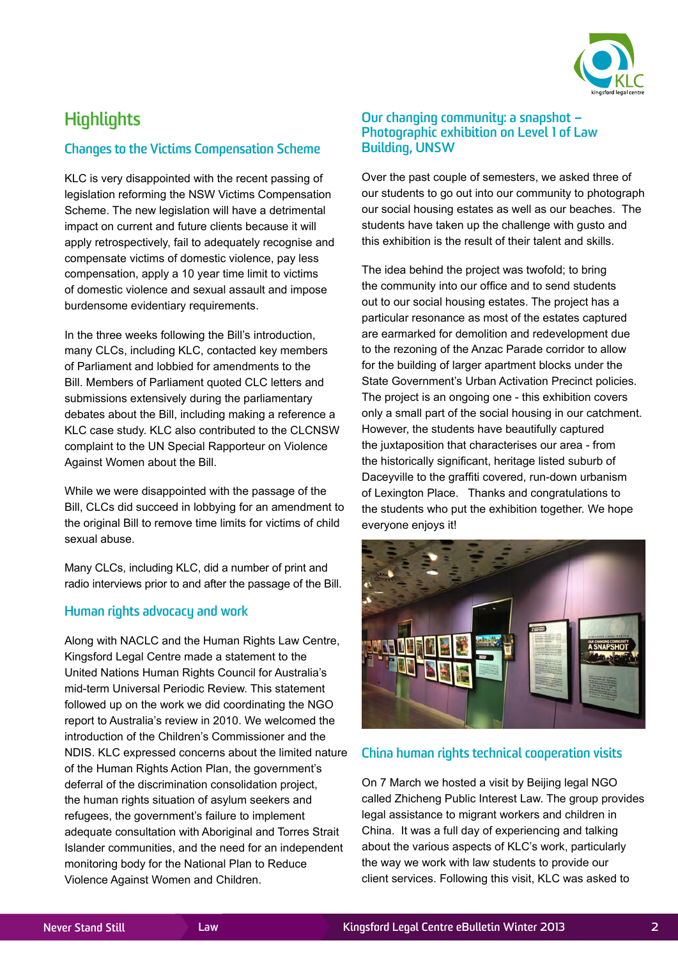

# **Highlights**

#### **Changes to the Victims Compensation Scheme**

KLC is very disappointed with the recent passing of legislation reforming the NSW Victims Compensation Scheme. The new legislation will have a detrimental impact on current and future clients because it will apply retrospectively, fail to adequately recognise and compensate victims of domestic violence, pay less compensation, apply a 10 year time limit to victims of domestic violence and sexual assault and impose burdensome evidentiary requirements.

In the three weeks following the Bill's introduction, many CLCs, including KLC, contacted key members of Parliament and lobbied for amendments to the Bill. Members of Parliament quoted CLC letters and submissions extensively during the parliamentary debates about the Bill, including making a reference a KLC case study. KLC also contributed to the CLCNSW complaint to the UN Special Rapporteur on Violence Against Women about the Bill.

While we were disappointed with the passage of the Bill, CLCs did succeed in lobbying for an amendment to the original Bill to remove time limits for victims of child sexual abuse.

Many CLCs, including KLC, did a number of print and radio interviews prior to and after the passage of the Bill.

#### **Human rights advocacy and work**

Along with NACLC and the Human Rights Law Centre, Kingsford Legal Centre made a statement to the United Nations Human Rights Council for Australia's mid-term Universal Periodic Review. This statement followed up on the work we did coordinating the NGO report to Australia's review in 2010. We welcomed the introduction of the Children's Commissioner and the NDIS. KLC expressed concerns about the limited nature of the Human Rights Action Plan, the government's deferral of the discrimination consolidation project, the human rights situation of asylum seekers and refugees, the government's failure to implement adequate consultation with Aboriginal and Torres Strait Islander communities, and the need for an independent monitoring body for the National Plan to Reduce Violence Against Women and Children.

#### **Our changing community: a snapshot – Photographic exhibition on Level 1 of Law Building, UNSW**

Over the past couple of semesters, we asked three of our students to go out into our community to photograph our social housing estates as well as our beaches. The students have taken up the challenge with gusto and this exhibition is the result of their talent and skills.

The idea behind the project was twofold; to bring the community into our office and to send students out to our social housing estates. The project has a particular resonance as most of the estates captured are earmarked for demolition and redevelopment due to the rezoning of the Anzac Parade corridor to allow for the building of larger apartment blocks under the State Government's Urban Activation Precinct policies. The project is an ongoing one - this exhibition covers only a small part of the social housing in our catchment. However, the students have beautifully captured the juxtaposition that characterises our area - from the historically significant, heritage listed suburb of Daceyville to the graffiti covered, run-down urbanism of Lexington Place. Thanks and congratulations to the students who put the exhibition together. We hope everyone enjoys it!



#### **China human rights technical cooperation visits**

On 7 March we hosted a visit by Beijing legal NGO called Zhicheng Public Interest Law. The group provides legal assistance to migrant workers and children in China. It was a full day of experiencing and talking about the various aspects of KLC's work, particularly the way we work with law students to provide our client services. Following this visit, KLC was asked to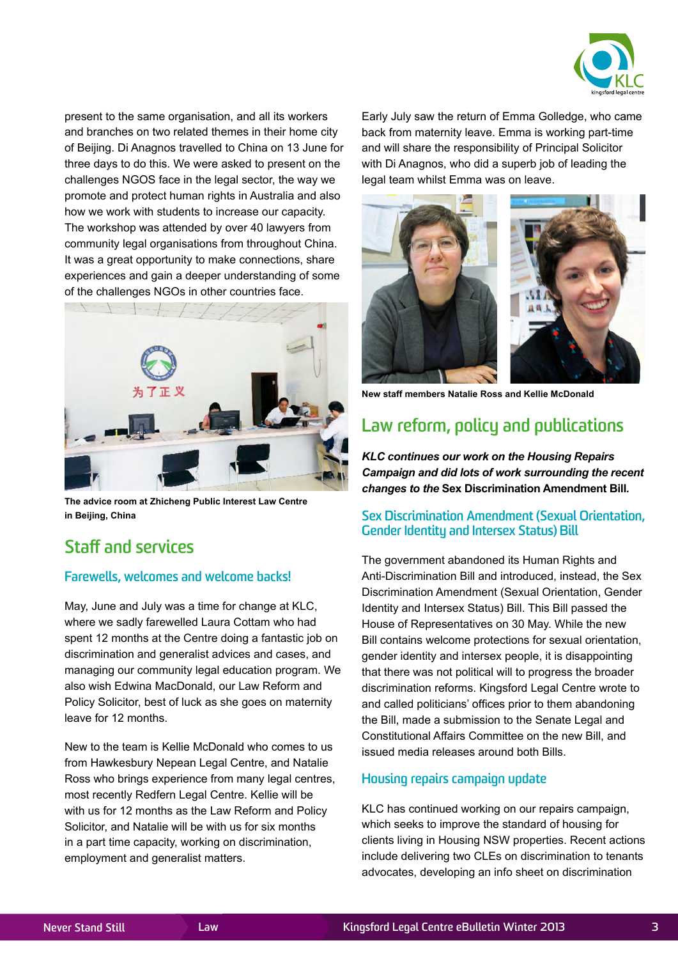

present to the same organisation, and all its workers and branches on two related themes in their home city of Beijing. Di Anagnos travelled to China on 13 June for three days to do this. We were asked to present on the challenges NGOS face in the legal sector, the way we promote and protect human rights in Australia and also how we work with students to increase our capacity. The workshop was attended by over 40 lawyers from community legal organisations from throughout China. It was a great opportunity to make connections, share experiences and gain a deeper understanding of some of the challenges NGOs in other countries face.



**The advice room at Zhicheng Public Interest Law Centre in Beijing, China**

## **Staff and services**

#### **Farewells, welcomes and welcome backs!**

May, June and July was a time for change at KLC, where we sadly farewelled Laura Cottam who had spent 12 months at the Centre doing a fantastic job on discrimination and generalist advices and cases, and managing our community legal education program. We also wish Edwina MacDonald, our Law Reform and Policy Solicitor, best of luck as she goes on maternity leave for 12 months.

New to the team is Kellie McDonald who comes to us from Hawkesbury Nepean Legal Centre, and Natalie Ross who brings experience from many legal centres, most recently Redfern Legal Centre. Kellie will be with us for 12 months as the Law Reform and Policy Solicitor, and Natalie will be with us for six months in a part time capacity, working on discrimination, employment and generalist matters.

Early July saw the return of Emma Golledge, who came back from maternity leave. Emma is working part-time and will share the responsibility of Principal Solicitor with Di Anagnos, who did a superb job of leading the legal team whilst Emma was on leave.



**New staff members Natalie Ross and Kellie McDonald**

## **Law reform, policy and publications**

*KLC continues our work on the Housing Repairs Campaign and did lots of work surrounding the recent changes to the* **Sex Discrimination Amendment Bill***.*

#### **Sex Discrimination Amendment (Sexual Orientation, Gender Identity and Intersex Status) Bill**

The government abandoned its Human Rights and Anti-Discrimination Bill and introduced, instead, the Sex Discrimination Amendment (Sexual Orientation, Gender Identity and Intersex Status) Bill. This Bill passed the House of Representatives on 30 May. While the new Bill contains welcome protections for sexual orientation, gender identity and intersex people, it is disappointing that there was not political will to progress the broader discrimination reforms. Kingsford Legal Centre wrote to and called politicians' offices prior to them abandoning the Bill, made a submission to the Senate Legal and Constitutional Affairs Committee on the new Bill, and issued media releases around both Bills.

#### **Housing repairs campaign update**

KLC has continued working on our repairs campaign, which seeks to improve the standard of housing for clients living in Housing NSW properties. Recent actions include delivering two CLEs on discrimination to tenants advocates, developing an info sheet on discrimination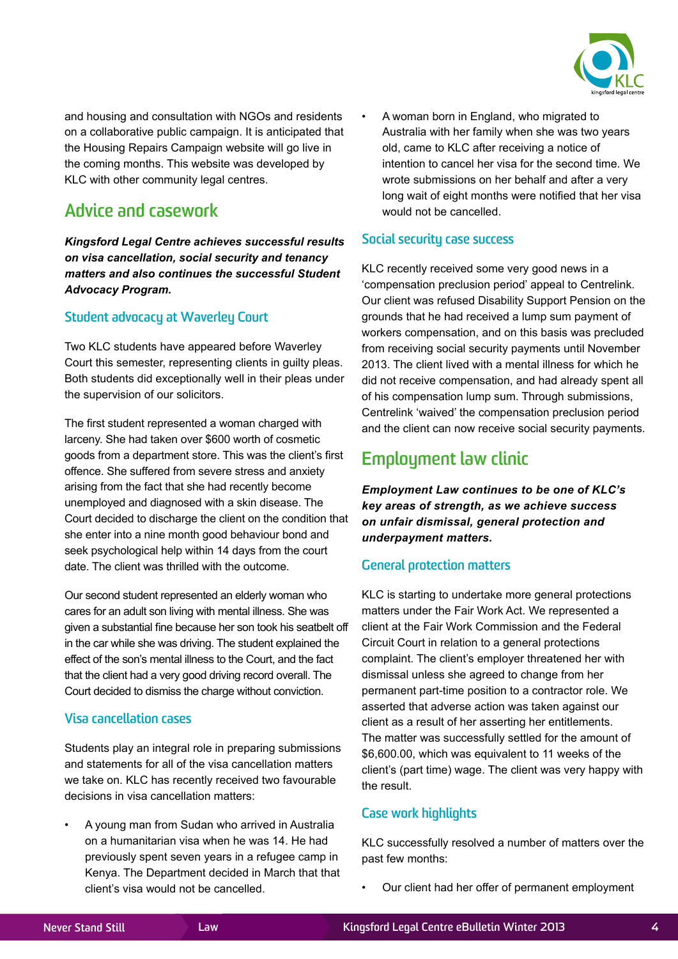

and housing and consultation with NGOs and residents on a collaborative public campaign. It is anticipated that the Housing Repairs Campaign website will go live in the coming months. This website was developed by KLC with other community legal centres.

# **Advice and casework**

*Kingsford Legal Centre achieves successful results on visa cancellation, social security and tenancy matters and also continues the successful Student Advocacy Program.*

#### **Student advocacy at Waverley Court**

Two KLC students have appeared before Waverley Court this semester, representing clients in guilty pleas. Both students did exceptionally well in their pleas under the supervision of our solicitors.

The first student represented a woman charged with larceny. She had taken over \$600 worth of cosmetic goods from a department store. This was the client's first offence. She suffered from severe stress and anxiety arising from the fact that she had recently become unemployed and diagnosed with a skin disease. The Court decided to discharge the client on the condition that she enter into a nine month good behaviour bond and seek psychological help within 14 days from the court date. The client was thrilled with the outcome.

Our second student represented an elderly woman who cares for an adult son living with mental illness. She was given a substantial fine because her son took his seatbelt off in the car while she was driving. The student explained the effect of the son's mental illness to the Court, and the fact that the client had a very good driving record overall. The Court decided to dismiss the charge without conviction.

#### **Visa cancellation cases**

Students play an integral role in preparing submissions and statements for all of the visa cancellation matters we take on. KLC has recently received two favourable decisions in visa cancellation matters:

• A young man from Sudan who arrived in Australia on a humanitarian visa when he was 14. He had previously spent seven years in a refugee camp in Kenya. The Department decided in March that that client's visa would not be cancelled.

• A woman born in England, who migrated to Australia with her family when she was two years old, came to KLC after receiving a notice of intention to cancel her visa for the second time. We wrote submissions on her behalf and after a very long wait of eight months were notified that her visa would not be cancelled.

#### **Social security case success**

KLC recently received some very good news in a 'compensation preclusion period' appeal to Centrelink. Our client was refused Disability Support Pension on the grounds that he had received a lump sum payment of workers compensation, and on this basis was precluded from receiving social security payments until November 2013. The client lived with a mental illness for which he did not receive compensation, and had already spent all of his compensation lump sum. Through submissions, Centrelink 'waived' the compensation preclusion period and the client can now receive social security payments.

## **Employment law clinic**

*Employment Law continues to be one of KLC's key areas of strength, as we achieve success on unfair dismissal, general protection and underpayment matters.*

#### **General protection matters**

KLC is starting to undertake more general protections matters under the Fair Work Act. We represented a client at the Fair Work Commission and the Federal Circuit Court in relation to a general protections complaint. The client's employer threatened her with dismissal unless she agreed to change from her permanent part-time position to a contractor role. We asserted that adverse action was taken against our client as a result of her asserting her entitlements. The matter was successfully settled for the amount of \$6,600.00, which was equivalent to 11 weeks of the client's (part time) wage. The client was very happy with the result.

#### **Case work highlights**

KLC successfully resolved a number of matters over the past few months:

• Our client had her offer of permanent employment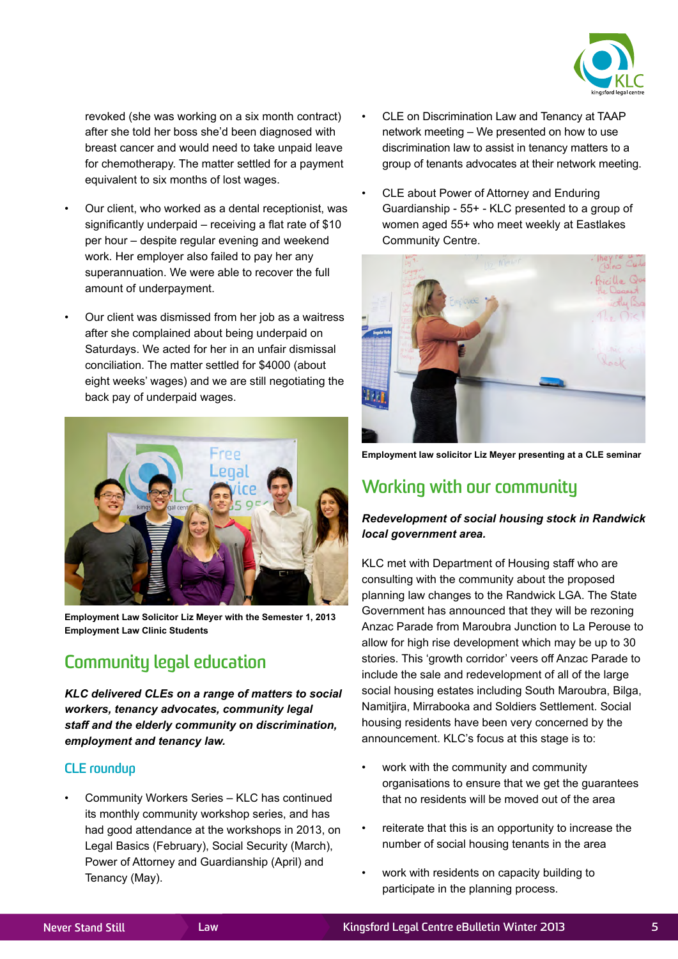

revoked (she was working on a six month contract) after she told her boss she'd been diagnosed with breast cancer and would need to take unpaid leave for chemotherapy. The matter settled for a payment equivalent to six months of lost wages.

- Our client, who worked as a dental receptionist, was significantly underpaid – receiving a flat rate of \$10 per hour – despite regular evening and weekend work. Her employer also failed to pay her any superannuation. We were able to recover the full amount of underpayment.
- Our client was dismissed from her job as a waitress after she complained about being underpaid on Saturdays. We acted for her in an unfair dismissal conciliation. The matter settled for \$4000 (about eight weeks' wages) and we are still negotiating the back pay of underpaid wages.



**Employment Law Solicitor Liz Meyer with the Semester 1, 2013 Employment Law Clinic Students**

# **Community legal education**

*KLC delivered CLEs on a range of matters to social workers, tenancy advocates, community legal staff and the elderly community on discrimination, employment and tenancy law.*

#### **CLE roundup**

• Community Workers Series – KLC has continued its monthly community workshop series, and has had good attendance at the workshops in 2013, on Legal Basics (February), Social Security (March), Power of Attorney and Guardianship (April) and Tenancy (May).

- CLE on Discrimination Law and Tenancy at TAAP network meeting – We presented on how to use discrimination law to assist in tenancy matters to a group of tenants advocates at their network meeting.
- CLE about Power of Attorney and Enduring Guardianship - 55+ - KLC presented to a group of women aged 55+ who meet weekly at Eastlakes Community Centre.



**Employment law solicitor Liz Meyer presenting at a CLE seminar**

## **Working with our community**

#### *Redevelopment of social housing stock in Randwick local government area.*

KLC met with Department of Housing staff who are consulting with the community about the proposed planning law changes to the Randwick LGA. The State Government has announced that they will be rezoning Anzac Parade from Maroubra Junction to La Perouse to allow for high rise development which may be up to 30 stories. This 'growth corridor' veers off Anzac Parade to include the sale and redevelopment of all of the large social housing estates including South Maroubra, Bilga, Namitjira, Mirrabooka and Soldiers Settlement. Social housing residents have been very concerned by the announcement. KLC's focus at this stage is to:

- work with the community and community organisations to ensure that we get the guarantees that no residents will be moved out of the area
- reiterate that this is an opportunity to increase the number of social housing tenants in the area
- work with residents on capacity building to participate in the planning process.